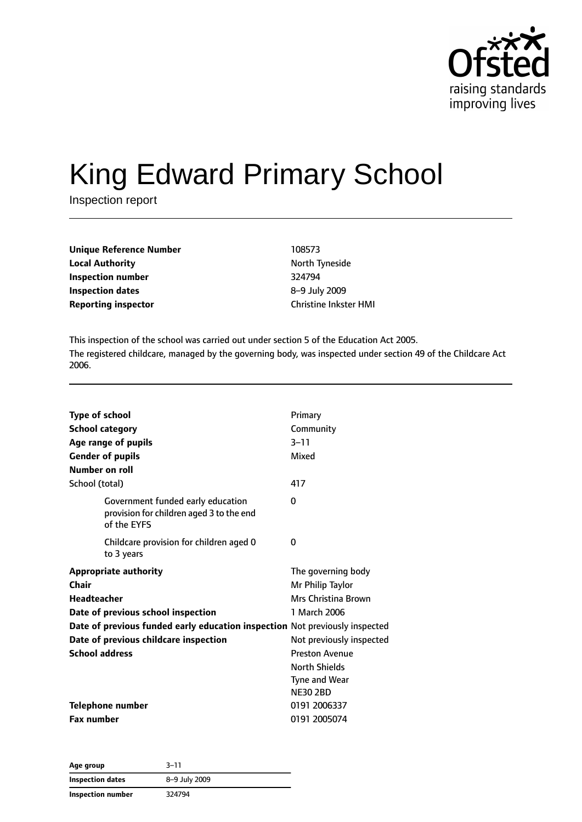

# King Edward Primary School

Inspection report

| <b>Unique Reference Number</b> | 108573                       |
|--------------------------------|------------------------------|
| <b>Local Authority</b>         | North Tyneside               |
| Inspection number              | 324794                       |
| <b>Inspection dates</b>        | 8-9 July 2009                |
| <b>Reporting inspector</b>     | <b>Christine Inkster HMI</b> |

This inspection of the school was carried out under section 5 of the Education Act 2005. The registered childcare, managed by the governing body, was inspected under section 49 of the Childcare Act 2006.

| <b>Type of school</b><br><b>School category</b><br>Age range of pupils<br><b>Gender of pupils</b>                                                                                                                                                         | Primary<br>Community<br>$3 - 11$<br>Mixed                                                                                                                                   |
|-----------------------------------------------------------------------------------------------------------------------------------------------------------------------------------------------------------------------------------------------------------|-----------------------------------------------------------------------------------------------------------------------------------------------------------------------------|
| Number on roll                                                                                                                                                                                                                                            |                                                                                                                                                                             |
| School (total)                                                                                                                                                                                                                                            | 417                                                                                                                                                                         |
| Government funded early education<br>provision for children aged 3 to the end<br>of the EYFS                                                                                                                                                              | 0                                                                                                                                                                           |
| Childcare provision for children aged 0<br>to 3 years                                                                                                                                                                                                     | 0                                                                                                                                                                           |
| <b>Appropriate authority</b><br><b>Chair</b><br><b>Headteacher</b><br>Date of previous school inspection<br>Date of previous funded early education inspection Not previously inspected<br>Date of previous childcare inspection<br><b>School address</b> | The governing body<br>Mr Philip Taylor<br>Mrs Christina Brown<br>1 March 2006<br>Not previously inspected<br><b>Preston Avenue</b><br><b>North Shields</b><br>Tyne and Wear |
| Telephone number<br><b>Fax number</b>                                                                                                                                                                                                                     | <b>NE30 2BD</b><br>0191 2006337<br>0191 2005074                                                                                                                             |

| Age group               | $3 - 11$      |  |
|-------------------------|---------------|--|
| <b>Inspection dates</b> | 8-9 July 2009 |  |
| Inspection number       | 324794        |  |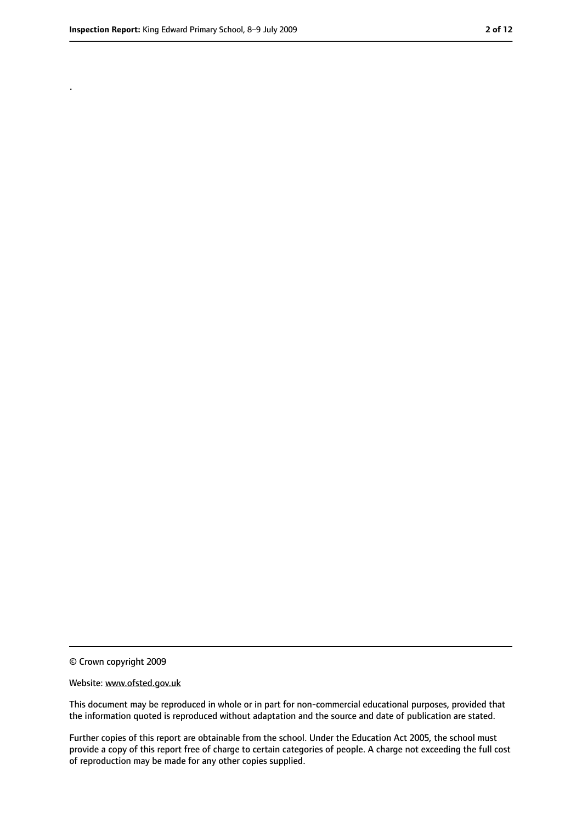.

<sup>©</sup> Crown copyright 2009

Website: www.ofsted.gov.uk

This document may be reproduced in whole or in part for non-commercial educational purposes, provided that the information quoted is reproduced without adaptation and the source and date of publication are stated.

Further copies of this report are obtainable from the school. Under the Education Act 2005, the school must provide a copy of this report free of charge to certain categories of people. A charge not exceeding the full cost of reproduction may be made for any other copies supplied.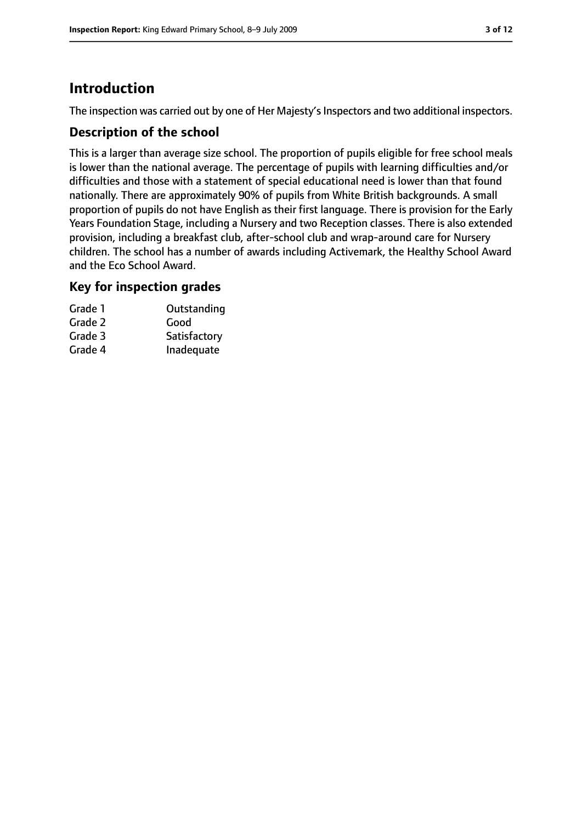# **Introduction**

The inspection was carried out by one of Her Majesty's Inspectors and two additional inspectors.

## **Description of the school**

This is a larger than average size school. The proportion of pupils eligible for free school meals is lower than the national average. The percentage of pupils with learning difficulties and/or difficulties and those with a statement of special educational need is lower than that found nationally. There are approximately 90% of pupils from White British backgrounds. A small proportion of pupils do not have English as their first language. There is provision for the Early Years Foundation Stage, including a Nursery and two Reception classes. There is also extended provision, including a breakfast club, after-school club and wrap-around care for Nursery children. The school has a number of awards including Activemark, the Healthy School Award and the Eco School Award.

#### **Key for inspection grades**

| Outstanding  |
|--------------|
|              |
| Satisfactory |
| Inadequate   |
|              |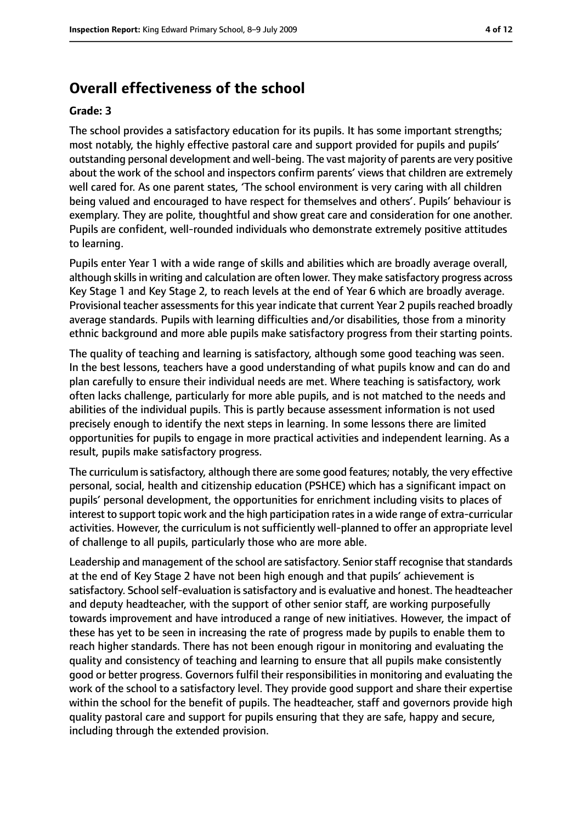## **Overall effectiveness of the school**

#### **Grade: 3**

The school provides a satisfactory education for its pupils. It has some important strengths; most notably, the highly effective pastoral care and support provided for pupils and pupils' outstanding personal development and well-being. The vast majority of parents are very positive about the work of the school and inspectors confirm parents' views that children are extremely well cared for. As one parent states, 'The school environment is very caring with all children being valued and encouraged to have respect for themselves and others'. Pupils' behaviour is exemplary. They are polite, thoughtful and show great care and consideration for one another. Pupils are confident, well-rounded individuals who demonstrate extremely positive attitudes to learning.

Pupils enter Year 1 with a wide range of skills and abilities which are broadly average overall, although skills in writing and calculation are often lower. They make satisfactory progress across Key Stage 1 and Key Stage 2, to reach levels at the end of Year 6 which are broadly average. Provisional teacher assessments for this year indicate that current Year 2 pupils reached broadly average standards. Pupils with learning difficulties and/or disabilities, those from a minority ethnic background and more able pupils make satisfactory progress from their starting points.

The quality of teaching and learning is satisfactory, although some good teaching was seen. In the best lessons, teachers have a good understanding of what pupils know and can do and plan carefully to ensure their individual needs are met. Where teaching is satisfactory, work often lacks challenge, particularly for more able pupils, and is not matched to the needs and abilities of the individual pupils. This is partly because assessment information is not used precisely enough to identify the next steps in learning. In some lessons there are limited opportunities for pupils to engage in more practical activities and independent learning. As a result, pupils make satisfactory progress.

The curriculum is satisfactory, although there are some good features; notably, the very effective personal, social, health and citizenship education (PSHCE) which has a significant impact on pupils' personal development, the opportunities for enrichment including visits to places of interest to support topic work and the high participation rates in a wide range of extra-curricular activities. However, the curriculum is not sufficiently well-planned to offer an appropriate level of challenge to all pupils, particularly those who are more able.

Leadership and management of the school are satisfactory. Senior staff recognise that standards at the end of Key Stage 2 have not been high enough and that pupils' achievement is satisfactory. School self-evaluation is satisfactory and is evaluative and honest. The headteacher and deputy headteacher, with the support of other senior staff, are working purposefully towards improvement and have introduced a range of new initiatives. However, the impact of these has yet to be seen in increasing the rate of progress made by pupils to enable them to reach higher standards. There has not been enough rigour in monitoring and evaluating the quality and consistency of teaching and learning to ensure that all pupils make consistently good or better progress. Governors fulfil their responsibilities in monitoring and evaluating the work of the school to a satisfactory level. They provide good support and share their expertise within the school for the benefit of pupils. The headteacher, staff and governors provide high quality pastoral care and support for pupils ensuring that they are safe, happy and secure, including through the extended provision.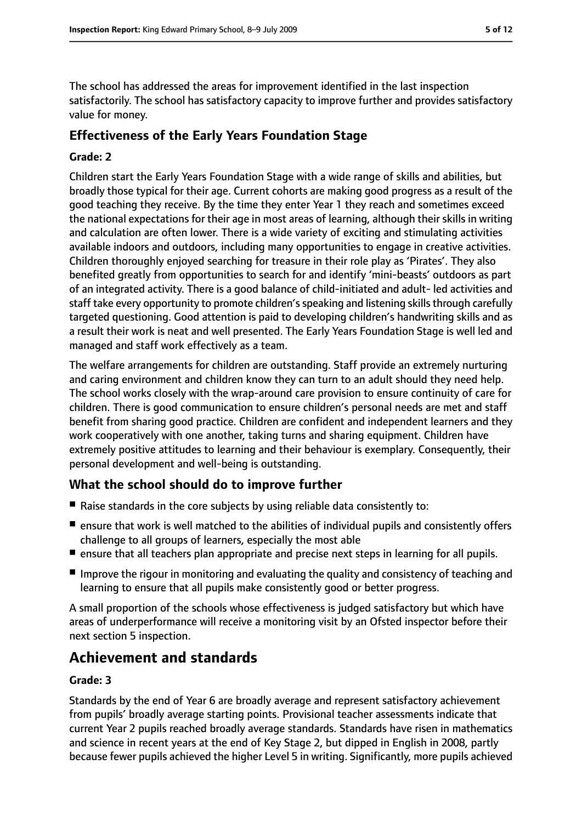The school has addressed the areas for improvement identified in the last inspection satisfactorily. The school has satisfactory capacity to improve further and provides satisfactory value for money.

## **Effectiveness of the Early Years Foundation Stage**

#### **Grade: 2**

Children start the Early Years Foundation Stage with a wide range of skills and abilities, but broadly those typical for their age. Current cohorts are making good progress as a result of the good teaching they receive. By the time they enter Year 1 they reach and sometimes exceed the national expectations for their age in most areas of learning, although their skills in writing and calculation are often lower. There is a wide variety of exciting and stimulating activities available indoors and outdoors, including many opportunities to engage in creative activities. Children thoroughly enjoyed searching for treasure in their role play as 'Pirates'. They also benefited greatly from opportunities to search for and identify 'mini-beasts' outdoors as part of an integrated activity. There is a good balance of child-initiated and adult- led activities and staff take every opportunity to promote children's speaking and listening skills through carefully targeted questioning. Good attention is paid to developing children's handwriting skills and as a result their work is neat and well presented. The Early Years Foundation Stage is well led and managed and staff work effectively as a team.

The welfare arrangements for children are outstanding. Staff provide an extremely nurturing and caring environment and children know they can turn to an adult should they need help. The school works closely with the wrap-around care provision to ensure continuity of care for children. There is good communication to ensure children's personal needs are met and staff benefit from sharing good practice. Children are confident and independent learners and they work cooperatively with one another, taking turns and sharing equipment. Children have extremely positive attitudes to learning and their behaviour is exemplary. Consequently, their personal development and well-being is outstanding.

## **What the school should do to improve further**

- Raise standards in the core subjects by using reliable data consistently to:
- ensure that work is well matched to the abilities of individual pupils and consistently offers challenge to all groups of learners, especially the most able
- ensure that all teachers plan appropriate and precise next steps in learning for all pupils.
- Improve the rigour in monitoring and evaluating the quality and consistency of teaching and learning to ensure that all pupils make consistently good or better progress.

A small proportion of the schools whose effectiveness is judged satisfactory but which have areas of underperformance will receive a monitoring visit by an Ofsted inspector before their next section 5 inspection.

# **Achievement and standards**

#### **Grade: 3**

Standards by the end of Year 6 are broadly average and represent satisfactory achievement from pupils' broadly average starting points. Provisional teacher assessments indicate that current Year 2 pupils reached broadly average standards. Standards have risen in mathematics and science in recent years at the end of Key Stage 2, but dipped in English in 2008, partly because fewer pupils achieved the higher Level 5 in writing. Significantly, more pupils achieved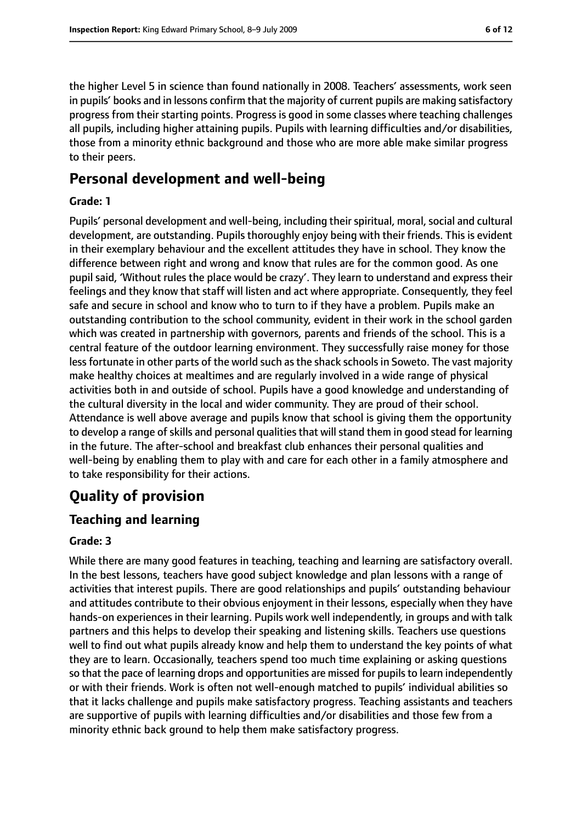the higher Level 5 in science than found nationally in 2008. Teachers' assessments, work seen in pupils' books and in lessons confirm that the majority of current pupils are making satisfactory progress from their starting points. Progress is good in some classes where teaching challenges all pupils, including higher attaining pupils. Pupils with learning difficulties and/or disabilities, those from a minority ethnic background and those who are more able make similar progress to their peers.

# **Personal development and well-being**

#### **Grade: 1**

Pupils' personal development and well-being, including their spiritual, moral, social and cultural development, are outstanding. Pupils thoroughly enjoy being with their friends. This is evident in their exemplary behaviour and the excellent attitudes they have in school. They know the difference between right and wrong and know that rules are for the common good. As one pupil said, 'Without rules the place would be crazy'. They learn to understand and express their feelings and they know that staff will listen and act where appropriate. Consequently, they feel safe and secure in school and know who to turn to if they have a problem. Pupils make an outstanding contribution to the school community, evident in their work in the school garden which was created in partnership with governors, parents and friends of the school. This is a central feature of the outdoor learning environment. They successfully raise money for those less fortunate in other parts of the world such as the shack schools in Soweto. The vast majority make healthy choices at mealtimes and are regularly involved in a wide range of physical activities both in and outside of school. Pupils have a good knowledge and understanding of the cultural diversity in the local and wider community. They are proud of their school. Attendance is well above average and pupils know that school is giving them the opportunity to develop a range of skills and personal qualities that will stand them in good stead for learning in the future. The after-school and breakfast club enhances their personal qualities and well-being by enabling them to play with and care for each other in a family atmosphere and to take responsibility for their actions.

# **Quality of provision**

## **Teaching and learning**

#### **Grade: 3**

While there are many good features in teaching, teaching and learning are satisfactory overall. In the best lessons, teachers have good subject knowledge and plan lessons with a range of activities that interest pupils. There are good relationships and pupils' outstanding behaviour and attitudes contribute to their obvious enjoyment in their lessons, especially when they have hands-on experiences in their learning. Pupils work well independently, in groups and with talk partners and this helps to develop their speaking and listening skills. Teachers use questions well to find out what pupils already know and help them to understand the key points of what they are to learn. Occasionally, teachers spend too much time explaining or asking questions so that the pace of learning drops and opportunities are missed for pupils to learn independently or with their friends. Work is often not well-enough matched to pupils' individual abilities so that it lacks challenge and pupils make satisfactory progress. Teaching assistants and teachers are supportive of pupils with learning difficulties and/or disabilities and those few from a minority ethnic back ground to help them make satisfactory progress.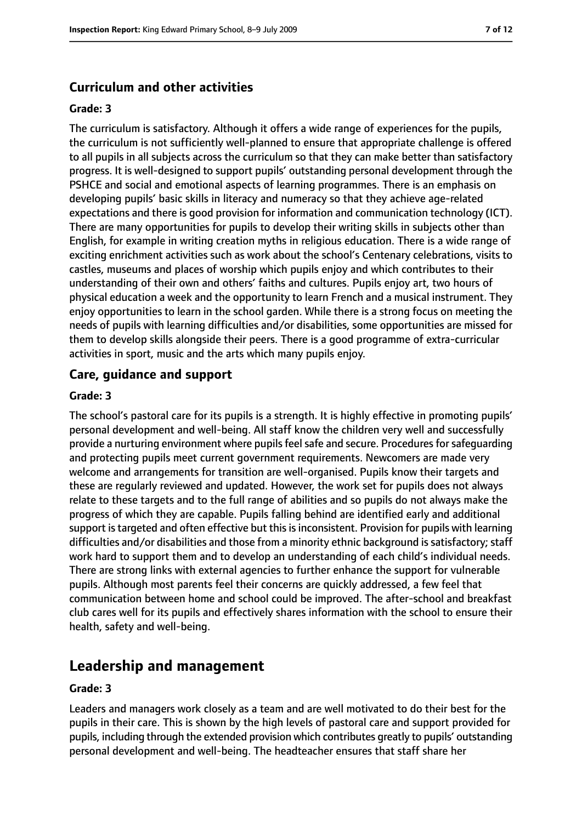## **Curriculum and other activities**

#### **Grade: 3**

The curriculum is satisfactory. Although it offers a wide range of experiences for the pupils, the curriculum is not sufficiently well-planned to ensure that appropriate challenge is offered to all pupils in all subjects across the curriculum so that they can make better than satisfactory progress. It is well-designed to support pupils' outstanding personal development through the PSHCE and social and emotional aspects of learning programmes. There is an emphasis on developing pupils' basic skills in literacy and numeracy so that they achieve age-related expectations and there is good provision for information and communication technology (ICT). There are many opportunities for pupils to develop their writing skills in subjects other than English, for example in writing creation myths in religious education. There is a wide range of exciting enrichment activities such as work about the school's Centenary celebrations, visits to castles, museums and places of worship which pupils enjoy and which contributes to their understanding of their own and others' faiths and cultures. Pupils enjoy art, two hours of physical education a week and the opportunity to learn French and a musical instrument. They enjoy opportunities to learn in the school garden. While there is a strong focus on meeting the needs of pupils with learning difficulties and/or disabilities, some opportunities are missed for them to develop skills alongside their peers. There is a good programme of extra-curricular activities in sport, music and the arts which many pupils enjoy.

#### **Care, guidance and support**

#### **Grade: 3**

The school's pastoral care for its pupils is a strength. It is highly effective in promoting pupils' personal development and well-being. All staff know the children very well and successfully provide a nurturing environment where pupils feel safe and secure. Procedures for safeguarding and protecting pupils meet current government requirements. Newcomers are made very welcome and arrangements for transition are well-organised. Pupils know their targets and these are regularly reviewed and updated. However, the work set for pupils does not always relate to these targets and to the full range of abilities and so pupils do not always make the progress of which they are capable. Pupils falling behind are identified early and additional support is targeted and often effective but this is inconsistent. Provision for pupils with learning difficulties and/or disabilities and those from a minority ethnic background is satisfactory; staff work hard to support them and to develop an understanding of each child's individual needs. There are strong links with external agencies to further enhance the support for vulnerable pupils. Although most parents feel their concerns are quickly addressed, a few feel that communication between home and school could be improved. The after-school and breakfast club cares well for its pupils and effectively shares information with the school to ensure their health, safety and well-being.

# **Leadership and management**

#### **Grade: 3**

Leaders and managers work closely as a team and are well motivated to do their best for the pupils in their care. This is shown by the high levels of pastoral care and support provided for pupils, including through the extended provision which contributes greatly to pupils' outstanding personal development and well-being. The headteacher ensures that staff share her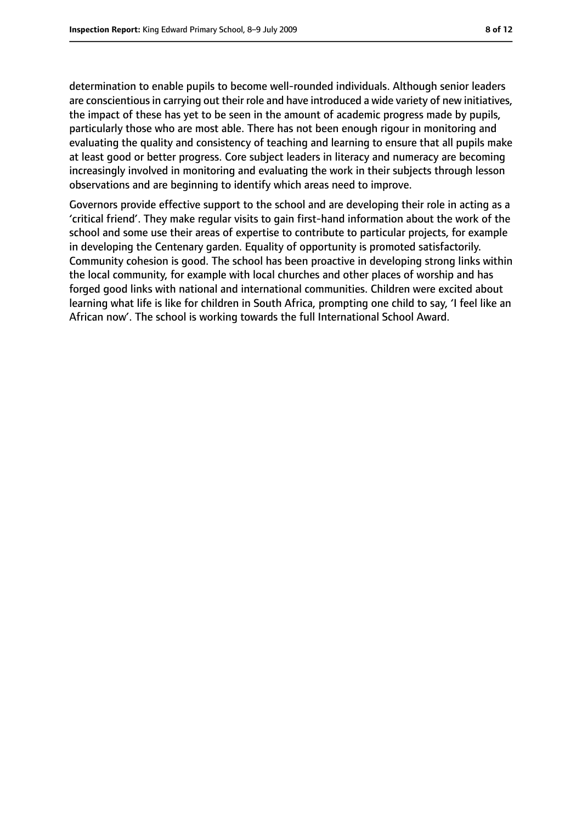determination to enable pupils to become well-rounded individuals. Although senior leaders are conscientious in carrying out their role and have introduced a wide variety of new initiatives, the impact of these has yet to be seen in the amount of academic progress made by pupils, particularly those who are most able. There has not been enough rigour in monitoring and evaluating the quality and consistency of teaching and learning to ensure that all pupils make at least good or better progress. Core subject leaders in literacy and numeracy are becoming increasingly involved in monitoring and evaluating the work in their subjects through lesson observations and are beginning to identify which areas need to improve.

Governors provide effective support to the school and are developing their role in acting as a 'critical friend'. They make regular visits to gain first-hand information about the work of the school and some use their areas of expertise to contribute to particular projects, for example in developing the Centenary garden. Equality of opportunity is promoted satisfactorily. Community cohesion is good. The school has been proactive in developing strong links within the local community, for example with local churches and other places of worship and has forged good links with national and international communities. Children were excited about learning what life is like for children in South Africa, prompting one child to say, 'I feel like an African now'. The school is working towards the full International School Award.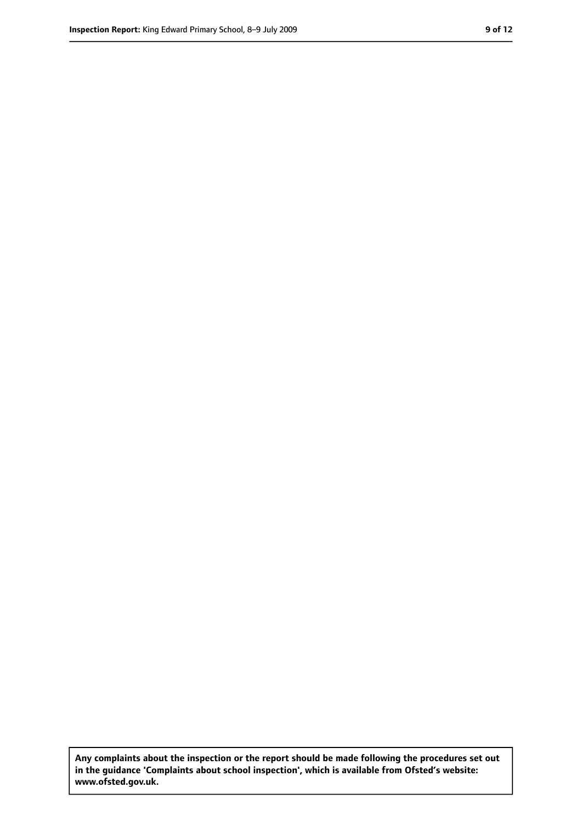**Any complaints about the inspection or the report should be made following the procedures set out in the guidance 'Complaints about school inspection', which is available from Ofsted's website: www.ofsted.gov.uk.**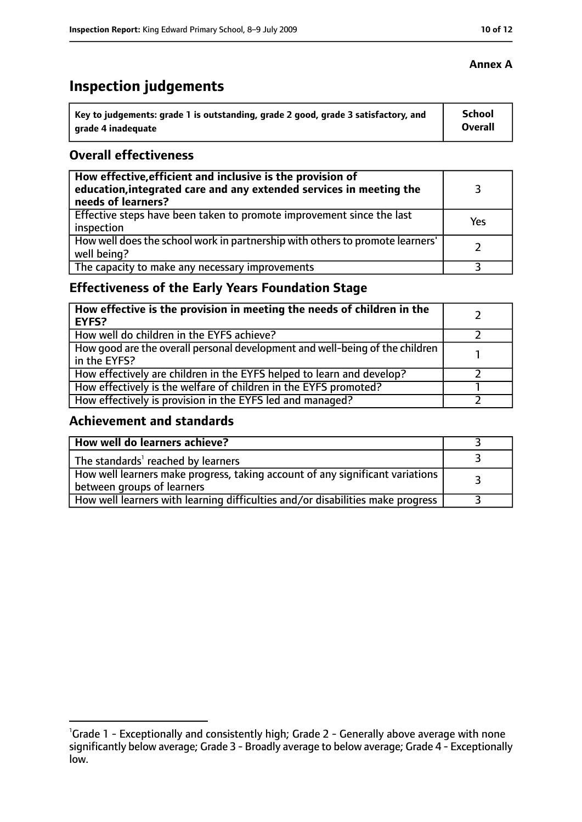# **Inspection judgements**

| key to judgements: grade 1 is outstanding, grade 2 good, grade 3 satisfactory, and ا | School         |
|--------------------------------------------------------------------------------------|----------------|
| arade 4 inadequate                                                                   | <b>Overall</b> |

#### **Overall effectiveness**

| How effective, efficient and inclusive is the provision of<br>education, integrated care and any extended services in meeting the<br>needs of learners? |     |
|---------------------------------------------------------------------------------------------------------------------------------------------------------|-----|
| Effective steps have been taken to promote improvement since the last<br>inspection                                                                     | Yes |
| How well does the school work in partnership with others to promote learners'<br>well being?                                                            |     |
| The capacity to make any necessary improvements                                                                                                         |     |

# **Effectiveness of the Early Years Foundation Stage**

| How effective is the provision in meeting the needs of children in the<br>l EYFS?            |  |
|----------------------------------------------------------------------------------------------|--|
| How well do children in the EYFS achieve?                                                    |  |
| How good are the overall personal development and well-being of the children<br>in the EYFS? |  |
| How effectively are children in the EYFS helped to learn and develop?                        |  |
| How effectively is the welfare of children in the EYFS promoted?                             |  |
| How effectively is provision in the EYFS led and managed?                                    |  |

#### **Achievement and standards**

| How well do learners achieve?                                                  |  |
|--------------------------------------------------------------------------------|--|
| $\vert$ The standards <sup>1</sup> reached by learners                         |  |
| How well learners make progress, taking account of any significant variations  |  |
| between groups of learners                                                     |  |
| How well learners with learning difficulties and/or disabilities make progress |  |

#### **Annex A**

<sup>&</sup>lt;sup>1</sup>Grade 1 - Exceptionally and consistently high; Grade 2 - Generally above average with none significantly below average; Grade 3 - Broadly average to below average; Grade 4 - Exceptionally low.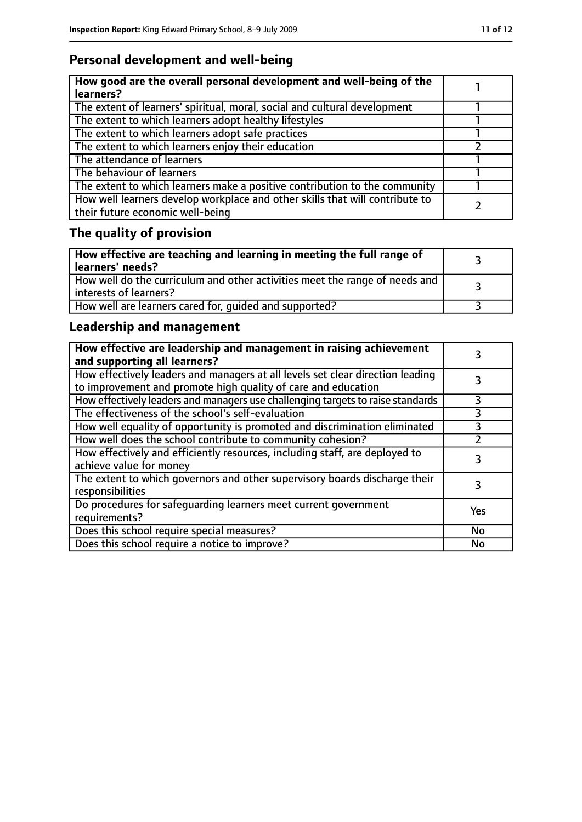# **Personal development and well-being**

| How good are the overall personal development and well-being of the<br>learners?                                 |  |
|------------------------------------------------------------------------------------------------------------------|--|
| The extent of learners' spiritual, moral, social and cultural development                                        |  |
| The extent to which learners adopt healthy lifestyles                                                            |  |
| The extent to which learners adopt safe practices                                                                |  |
| The extent to which learners enjoy their education                                                               |  |
| The attendance of learners                                                                                       |  |
| The behaviour of learners                                                                                        |  |
| The extent to which learners make a positive contribution to the community                                       |  |
| How well learners develop workplace and other skills that will contribute to<br>their future economic well-being |  |

# **The quality of provision**

| How effective are teaching and learning in meeting the full range of<br>learners' needs?              |  |
|-------------------------------------------------------------------------------------------------------|--|
| How well do the curriculum and other activities meet the range of needs and<br>interests of learners? |  |
| How well are learners cared for, quided and supported?                                                |  |

# **Leadership and management**

| How effective are leadership and management in raising achievement<br>and supporting all learners?                                              |           |
|-------------------------------------------------------------------------------------------------------------------------------------------------|-----------|
| How effectively leaders and managers at all levels set clear direction leading<br>to improvement and promote high quality of care and education |           |
| How effectively leaders and managers use challenging targets to raise standards                                                                 | 3         |
| The effectiveness of the school's self-evaluation                                                                                               | 3         |
| How well equality of opportunity is promoted and discrimination eliminated                                                                      | 3         |
| How well does the school contribute to community cohesion?                                                                                      | っ         |
| How effectively and efficiently resources, including staff, are deployed to<br>achieve value for money                                          | 3         |
| The extent to which governors and other supervisory boards discharge their<br>responsibilities                                                  |           |
| Do procedures for safequarding learners meet current government<br>requirements?                                                                | Yes       |
| Does this school require special measures?                                                                                                      | <b>No</b> |
| Does this school require a notice to improve?                                                                                                   | No        |